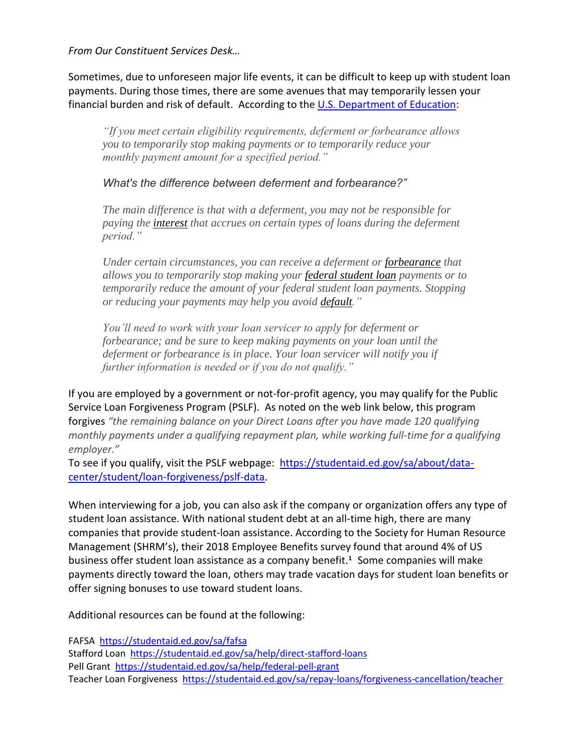*From Our Constituent Services Desk…*

Sometimes, due to unforeseen major life events, it can be difficult to keep up with student loan payments. During those times, there are some avenues that may temporarily lessen your financial burden and risk of default. According to the [U.S. Department of Education:](https://studentaid.ed.gov/sa/repay-loans/deferment-forbearance#deferment-eligibility)

*"If you meet certain eligibility requirements, deferment or forbearance allows you to temporarily stop making payments or to temporarily reduce your monthly payment amount for a specified period."*

*What's the difference between deferment and forbearance?"*

*The main difference is that with a deferment, you may not be responsible for paying the [interest](https://studentaid.ed.gov/sa/taxonomy/term/37?width=300px&height=auto&className=glossaryterm&closeButton=true) that accrues on certain types of loans during the deferment period."*

*Under certain circumstances, you can receive a deferment or [forbearance](https://studentaid.ed.gov/sa/taxonomy/term/95?width=300px&height=auto&className=glossaryterm&closeButton=true) that allows you to temporarily stop making your [federal student loan](https://studentaid.ed.gov/sa/taxonomy/term/90?width=300px&height=auto&className=glossaryterm&closeButton=true) payments or to temporarily reduce the amount of your federal student loan payments. Stopping or reducing your payments may help you avoid [default.](https://studentaid.ed.gov/sa/taxonomy/term/16?width=300px&height=auto&className=glossaryterm&closeButton=true)"*

*You'll need to work with your loan servicer to apply for deferment or forbearance; and be sure to keep making payments on your loan until the deferment or forbearance is in place. Your loan servicer will notify you if further information is needed or if you do not qualify."*

If you are employed by a government or not-for-profit agency, you may qualify for the Public Service Loan Forgiveness Program (PSLF). As noted on the web link below, this program forgives *"the remaining balance on your Direct Loans after you have made 120 qualifying monthly payments under a qualifying repayment plan, while working full-time for a qualifying employer."* 

To see if you qualify, visit the PSLF webpage: [https://studentaid.ed.gov/sa/about/data](https://studentaid.ed.gov/sa/about/data-center/student/loan-forgiveness/pslf-data)[center/student/loan-forgiveness/pslf-data](https://studentaid.ed.gov/sa/about/data-center/student/loan-forgiveness/pslf-data).

When interviewing for a job, you can also ask if the company or organization offers any type of student loan assistance. With national student debt at an all-time high, there are many companies that provide student-loan assistance. According to the Society for Human Resource Management (SHRM's), their 2018 Employee Benefits survey found that around 4% of US business offer student loan assistance as a company benefit.**<sup>1</sup>** Some companies will make payments directly toward the loan, others may trade vacation days for student loan benefits or offer signing bonuses to use toward student loans.

Additional resources can be found at the following:

FAFSA <https://studentaid.ed.gov/sa/fafsa> Stafford Loan <https://studentaid.ed.gov/sa/help/direct-stafford-loans> Pell Grant <https://studentaid.ed.gov/sa/help/federal-pell-grant> Teacher Loan Forgiveness <https://studentaid.ed.gov/sa/repay-loans/forgiveness-cancellation/teacher>